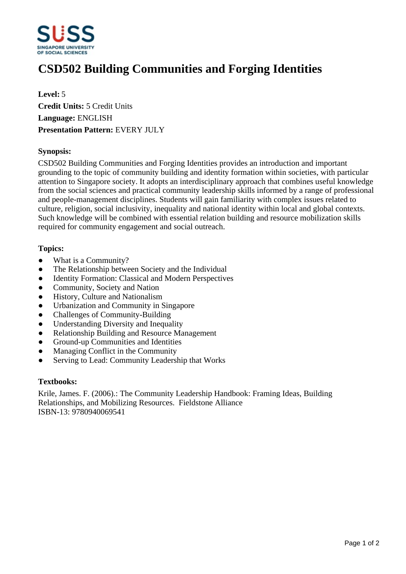

# **CSD502 Building Communities and Forging Identities**

**Level:** 5 **Credit Units:** 5 Credit Units **Language:** ENGLISH **Presentation Pattern:** EVERY JULY

## **Synopsis:**

CSD502 Building Communities and Forging Identities provides an introduction and important grounding to the topic of community building and identity formation within societies, with particular attention to Singapore society. It adopts an interdisciplinary approach that combines useful knowledge from the social sciences and practical community leadership skills informed by a range of professional and people-management disciplines. Students will gain familiarity with complex issues related to culture, religion, social inclusivity, inequality and national identity within local and global contexts. Such knowledge will be combined with essential relation building and resource mobilization skills required for community engagement and social outreach.

## **Topics:**

- What is a Community?
- The Relationship between Society and the Individual
- Identity Formation: Classical and Modern Perspectives
- Community, Society and Nation
- History, Culture and Nationalism
- Urbanization and Community in Singapore
- ƔChallenges of Community-Building
- Understanding Diversity and Inequality
- Relationship Building and Resource Management
- Ground-up Communities and Identities
- Managing Conflict in the Community
- Serving to Lead: Community Leadership that Works

#### **Textbooks:**

Krile, James. F. (2006).: The Community Leadership Handbook: Framing Ideas, Building Relationships, and Mobilizing Resources. Fieldstone Alliance ISBN-13: 9780940069541